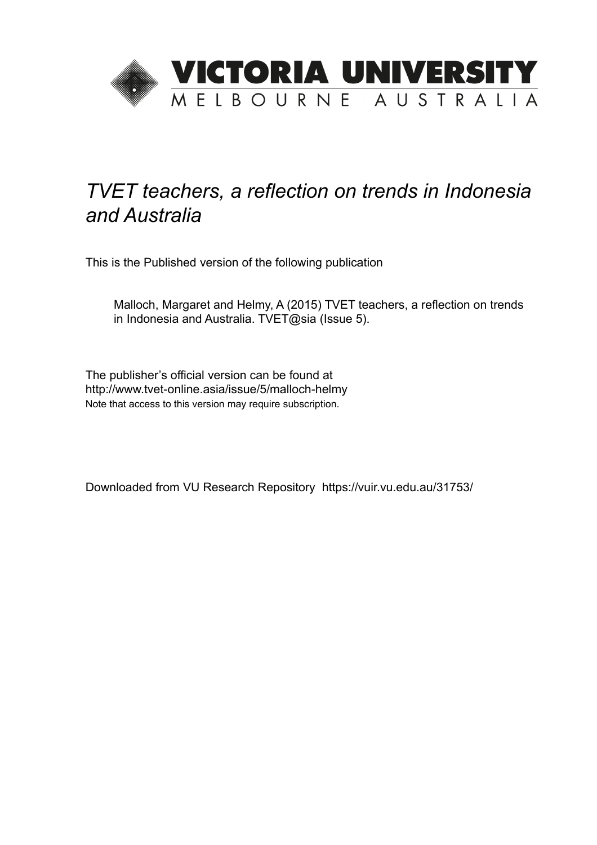

## *TVET teachers, a reflection on trends in Indonesia and Australia*

This is the Published version of the following publication

Malloch, Margaret and Helmy, A (2015) TVET teachers, a reflection on trends in Indonesia and Australia. TVET@sia (Issue 5).

The publisher's official version can be found at http://www.tvet-online.asia/issue/5/malloch-helmy Note that access to this version may require subscription.

Downloaded from VU Research Repository https://vuir.vu.edu.au/31753/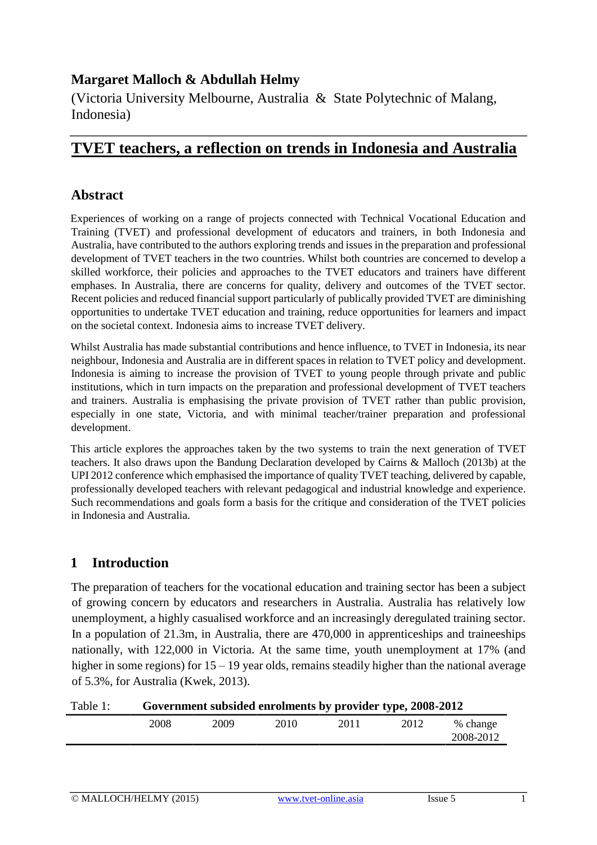## **Margaret Malloch & Abdullah Helmy**

(Victoria University Melbourne, Australia & State Polytechnic of Malang, Indonesia)

## **TVET teachers, a reflection on trends in Indonesia and Australia**

## **Abstract**

Experiences of working on a range of projects connected with Technical Vocational Education and Training (TVET) and professional development of educators and trainers, in both Indonesia and Australia, have contributed to the authors exploring trends and issues in the preparation and professional development of TVET teachers in the two countries. Whilst both countries are concerned to develop a skilled workforce, their policies and approaches to the TVET educators and trainers have different emphases. In Australia, there are concerns for quality, delivery and outcomes of the TVET sector. Recent policies and reduced financial support particularly of publically provided TVET are diminishing opportunities to undertake TVET education and training, reduce opportunities for learners and impact on the societal context. Indonesia aims to increase TVET delivery.

Whilst Australia has made substantial contributions and hence influence, to TVET in Indonesia, its near neighbour, Indonesia and Australia are in different spaces in relation to TVET policy and development. Indonesia is aiming to increase the provision of TVET to young people through private and public institutions, which in turn impacts on the preparation and professional development of TVET teachers and trainers. Australia is emphasising the private provision of TVET rather than public provision, especially in one state, Victoria, and with minimal teacher/trainer preparation and professional development.

This article explores the approaches taken by the two systems to train the next generation of TVET teachers. It also draws upon the Bandung Declaration developed by Cairns & Malloch (2013b) at the UPI 2012 conference which emphasised the importance of quality TVET teaching, delivered by capable, professionally developed teachers with relevant pedagogical and industrial knowledge and experience. Such recommendations and goals form a basis for the critique and consideration of the TVET policies in Indonesia and Australia.

## **1 Introduction**

The preparation of teachers for the vocational education and training sector has been a subject of growing concern by educators and researchers in Australia. Australia has relatively low unemployment, a highly casualised workforce and an increasingly deregulated training sector*.*  In a population of 21.3m, in Australia, there are 470,000 in apprenticeships and traineeships nationally, with 122,000 in Victoria. At the same time, youth unemployment at 17% (and higher in some regions) for 15 – 19 year olds, remains steadily higher than the national average of 5.3%, for Australia (Kwek, 2013).

| Table 1: |      |      |      | Government subsided enrolments by provider type, 2008-2012 |      |                       |
|----------|------|------|------|------------------------------------------------------------|------|-----------------------|
|          | 2008 | 2009 | 2010 | 2011                                                       | 2012 | % change<br>2008-2012 |
|          |      |      |      |                                                            |      |                       |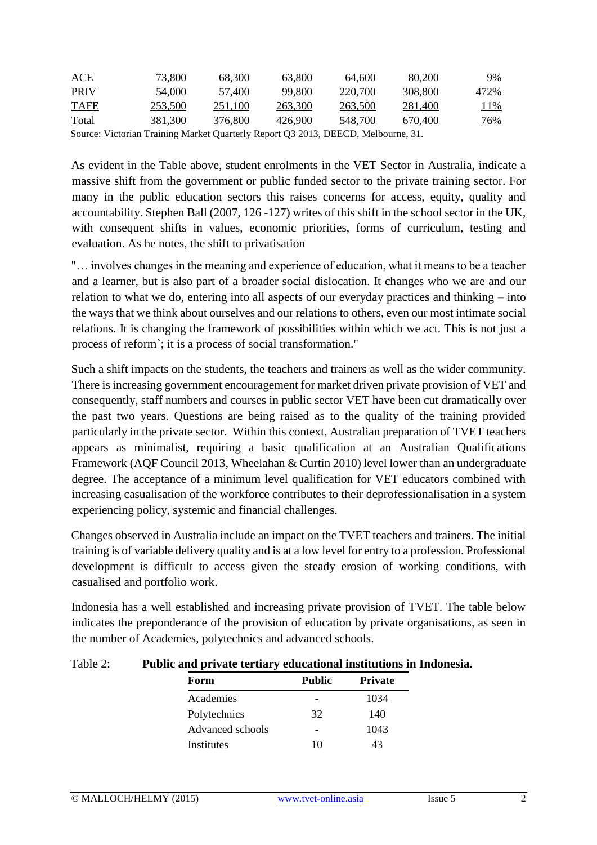| ACE                                                                               | 73.800  | 68.300  | 63,800  | 64.600  | 80,200  | 9%          |
|-----------------------------------------------------------------------------------|---------|---------|---------|---------|---------|-------------|
| <b>PRIV</b>                                                                       | 54.000  | 57,400  | 99.800  | 220,700 | 308,800 | 472%        |
| <b>TAFE</b>                                                                       | 253,500 | 251.100 | 263,300 | 263,500 | 281.400 | <u> 11%</u> |
| <b>Total</b>                                                                      | 381.300 | 376,800 | 426,900 | 548,700 | 670.400 | <u>76%</u>  |
| Source: Victorian Training Market Quarterly Report Q3 2013, DEECD, Melbourne, 31. |         |         |         |         |         |             |

As evident in the Table above, student enrolments in the VET Sector in Australia, indicate a massive shift from the government or public funded sector to the private training sector. For many in the public education sectors this raises concerns for access, equity, quality and accountability. Stephen Ball (2007, 126 -127) writes of this shift in the school sector in the UK, with consequent shifts in values, economic priorities, forms of curriculum, testing and evaluation. As he notes, the shift to privatisation

"… involves changes in the meaning and experience of education, what it means to be a teacher and a learner, but is also part of a broader social dislocation. It changes who we are and our relation to what we do, entering into all aspects of our everyday practices and thinking – into the ways that we think about ourselves and our relations to others, even our most intimate social relations. It is changing the framework of possibilities within which we act. This is not just a process of reform`; it is a process of social transformation."

Such a shift impacts on the students, the teachers and trainers as well as the wider community. There is increasing government encouragement for market driven private provision of VET and consequently, staff numbers and courses in public sector VET have been cut dramatically over the past two years. Questions are being raised as to the quality of the training provided particularly in the private sector. Within this context, Australian preparation of TVET teachers appears as minimalist, requiring a basic qualification at an Australian Qualifications Framework (AQF Council 2013, Wheelahan & Curtin 2010) level lower than an undergraduate degree. The acceptance of a minimum level qualification for VET educators combined with increasing casualisation of the workforce contributes to their deprofessionalisation in a system experiencing policy, systemic and financial challenges.

Changes observed in Australia include an impact on the TVET teachers and trainers. The initial training is of variable delivery quality and is at a low level for entry to a profession. Professional development is difficult to access given the steady erosion of working conditions, with casualised and portfolio work.

Indonesia has a well established and increasing private provision of TVET. The table below indicates the preponderance of the provision of education by private organisations, as seen in the number of Academies, polytechnics and advanced schools.

| Table 2: | Public and private tertiary educational institutions in Indonesia. |
|----------|--------------------------------------------------------------------|
|----------|--------------------------------------------------------------------|

| Form             | <b>Public</b> | <b>Private</b> |
|------------------|---------------|----------------|
| Academies        |               | 1034           |
| Polytechnics     | 32            | 140            |
| Advanced schools |               | 1043           |
| Institutes       | 10            | 43             |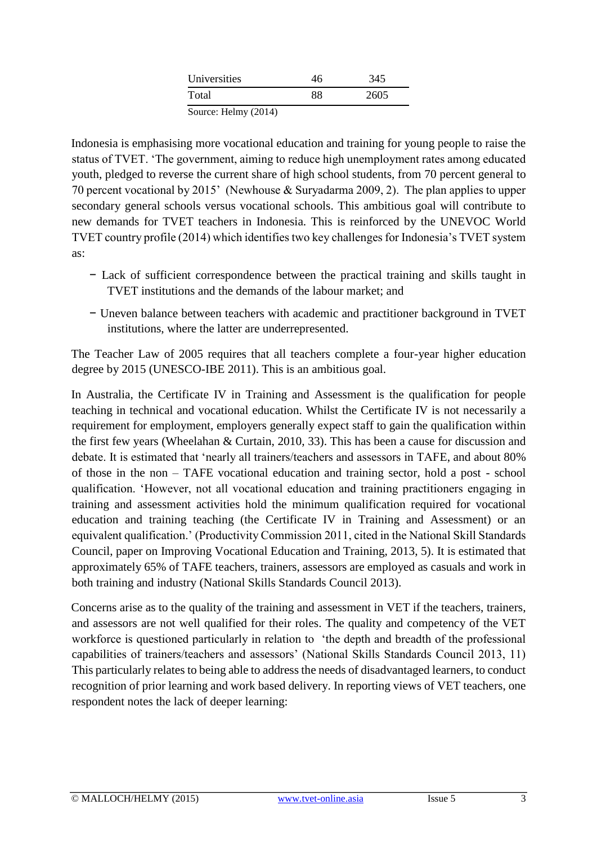| Universities                   |    | 345  |  |
|--------------------------------|----|------|--|
| Total                          | 88 | 2605 |  |
| $0.$ $\cdots$ II.1. $(0.01.4)$ |    |      |  |

Source: Helmy (2014)

Indonesia is emphasising more vocational education and training for young people to raise the status of TVET. 'The government, aiming to reduce high unemployment rates among educated youth, pledged to reverse the current share of high school students, from 70 percent general to 70 percent vocational by 2015' (Newhouse & Suryadarma 2009, 2). The plan applies to upper secondary general schools versus vocational schools. This ambitious goal will contribute to new demands for TVET teachers in Indonesia. This is reinforced by the UNEVOC World TVET country profile (2014) which identifies two key challenges for Indonesia's TVET system as:

- − Lack of sufficient correspondence between the practical training and skills taught in TVET institutions and the demands of the labour market; and
- − Uneven balance between teachers with academic and practitioner background in TVET institutions, where the latter are underrepresented.

The Teacher Law of 2005 requires that all teachers complete a four-year higher education degree by 2015 (UNESCO-IBE 2011). This is an ambitious goal.

In Australia, the Certificate IV in Training and Assessment is the qualification for people teaching in technical and vocational education. Whilst the Certificate IV is not necessarily a requirement for employment, employers generally expect staff to gain the qualification within the first few years (Wheelahan & Curtain, 2010, 33). This has been a cause for discussion and debate. It is estimated that 'nearly all trainers/teachers and assessors in TAFE, and about 80% of those in the non – TAFE vocational education and training sector, hold a post - school qualification. 'However, not all vocational education and training practitioners engaging in training and assessment activities hold the minimum qualification required for vocational education and training teaching (the Certificate IV in Training and Assessment) or an equivalent qualification.' (Productivity Commission 2011, cited in the National Skill Standards Council, paper on Improving Vocational Education and Training, 2013, 5). It is estimated that approximately 65% of TAFE teachers, trainers, assessors are employed as casuals and work in both training and industry (National Skills Standards Council 2013).

Concerns arise as to the quality of the training and assessment in VET if the teachers, trainers, and assessors are not well qualified for their roles. The quality and competency of the VET workforce is questioned particularly in relation to 'the depth and breadth of the professional capabilities of trainers/teachers and assessors' (National Skills Standards Council 2013, 11) This particularly relates to being able to address the needs of disadvantaged learners, to conduct recognition of prior learning and work based delivery. In reporting views of VET teachers, one respondent notes the lack of deeper learning: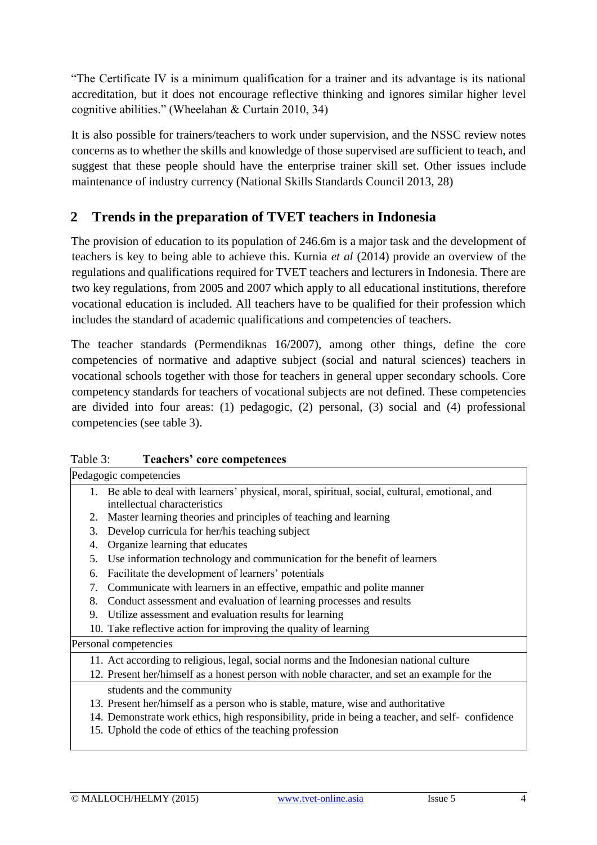"The Certificate IV is a minimum qualification for a trainer and its advantage is its national accreditation, but it does not encourage reflective thinking and ignores similar higher level cognitive abilities." (Wheelahan & Curtain 2010, 34)

It is also possible for trainers/teachers to work under supervision, and the NSSC review notes concerns as to whether the skills and knowledge of those supervised are sufficient to teach, and suggest that these people should have the enterprise trainer skill set. Other issues include maintenance of industry currency (National Skills Standards Council 2013, 28)

## **2 Trends in the preparation of TVET teachers in Indonesia**

The provision of education to its population of 246.6m is a major task and the development of teachers is key to being able to achieve this. Kurnia *et al* (2014) provide an overview of the regulations and qualifications required for TVET teachers and lecturers in Indonesia. There are two key regulations, from 2005 and 2007 which apply to all educational institutions, therefore vocational education is included. All teachers have to be qualified for their profession which includes the standard of academic qualifications and competencies of teachers.

The teacher standards (Permendiknas 16/2007), among other things, define the core competencies of normative and adaptive subject (social and natural sciences) teachers in vocational schools together with those for teachers in general upper secondary schools. Core competency standards for teachers of vocational subjects are not defined. These competencies are divided into four areas: (1) pedagogic, (2) personal, (3) social and (4) professional competencies (see table 3).

| <b>Teachers' core competences</b> | Table 3: |  |  |  |
|-----------------------------------|----------|--|--|--|
|-----------------------------------|----------|--|--|--|

| Table 3: | Teachers' core competences                                                                                                     |
|----------|--------------------------------------------------------------------------------------------------------------------------------|
|          | Pedagogic competencies                                                                                                         |
|          | 1. Be able to deal with learners' physical, moral, spiritual, social, cultural, emotional, and<br>intellectual characteristics |
| 2.       | Master learning theories and principles of teaching and learning                                                               |
| 3.       | Develop curricula for her/his teaching subject                                                                                 |
| 4.       | Organize learning that educates                                                                                                |
| 5.       | Use information technology and communication for the benefit of learners                                                       |
| 6.       | Facilitate the development of learners' potentials                                                                             |
| 7.       | Communicate with learners in an effective, empathic and polite manner                                                          |
| 8.       | Conduct assessment and evaluation of learning processes and results                                                            |
| 9.       | Utilize assessment and evaluation results for learning                                                                         |
|          | 10. Take reflective action for improving the quality of learning                                                               |
|          | Personal competencies                                                                                                          |
|          | 11. Act according to religious, legal, social norms and the Indonesian national culture                                        |
|          | 12. Present her/himself as a honest person with noble character, and set an example for the                                    |
|          | students and the community                                                                                                     |
|          | 13. Present her/himself as a person who is stable, mature, wise and authoritative                                              |
|          | 14. Demonstrate work ethics, high responsibility, pride in being a teacher, and self-confidence                                |
|          | 15. Uphold the code of ethics of the teaching profession                                                                       |
|          |                                                                                                                                |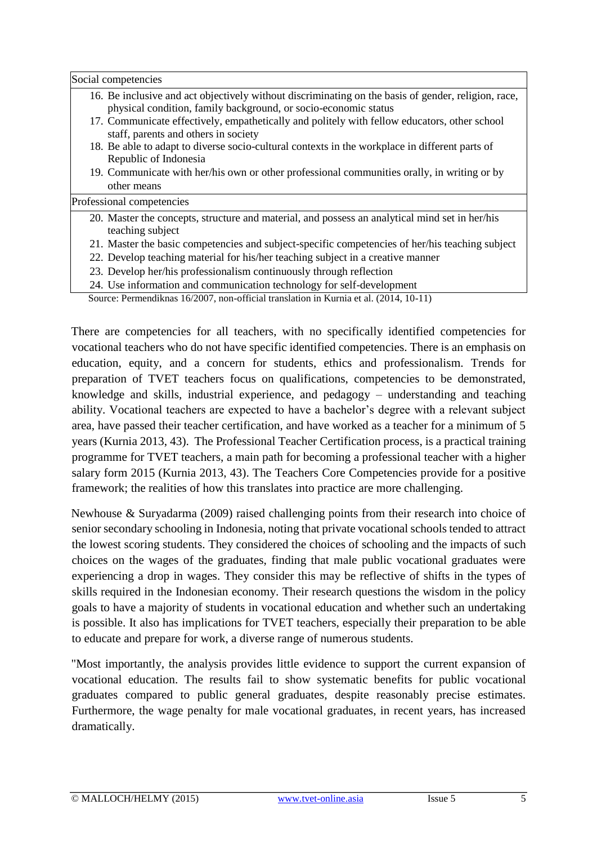Social competencies

- 16. Be inclusive and act objectively without discriminating on the basis of gender, religion, race, physical condition, family background, or socio-economic status
- 17. Communicate effectively, empathetically and politely with fellow educators, other school staff, parents and others in society
- 18. Be able to adapt to diverse socio-cultural contexts in the workplace in different parts of Republic of Indonesia
- 19. Communicate with her/his own or other professional communities orally, in writing or by other means

Professional competencies

- 20. Master the concepts, structure and material, and possess an analytical mind set in her/his teaching subject
- 21. Master the basic competencies and subject-specific competencies of her/his teaching subject
- 22. Develop teaching material for his/her teaching subject in a creative manner
- 23. Develop her/his professionalism continuously through reflection
- 24. Use information and communication technology for self-development

Source: Permendiknas 16/2007, non-official translation in Kurnia et al. (2014, 10-11)

There are competencies for all teachers, with no specifically identified competencies for vocational teachers who do not have specific identified competencies. There is an emphasis on education, equity, and a concern for students, ethics and professionalism. Trends for preparation of TVET teachers focus on qualifications, competencies to be demonstrated, knowledge and skills, industrial experience, and pedagogy – understanding and teaching ability. Vocational teachers are expected to have a bachelor's degree with a relevant subject area, have passed their teacher certification, and have worked as a teacher for a minimum of 5 years (Kurnia 2013, 43). The Professional Teacher Certification process, is a practical training programme for TVET teachers, a main path for becoming a professional teacher with a higher salary form 2015 (Kurnia 2013, 43). The Teachers Core Competencies provide for a positive framework; the realities of how this translates into practice are more challenging.

Newhouse & Suryadarma (2009) raised challenging points from their research into choice of senior secondary schooling in Indonesia, noting that private vocational schools tended to attract the lowest scoring students. They considered the choices of schooling and the impacts of such choices on the wages of the graduates, finding that male public vocational graduates were experiencing a drop in wages. They consider this may be reflective of shifts in the types of skills required in the Indonesian economy. Their research questions the wisdom in the policy goals to have a majority of students in vocational education and whether such an undertaking is possible. It also has implications for TVET teachers, especially their preparation to be able to educate and prepare for work, a diverse range of numerous students.

"Most importantly, the analysis provides little evidence to support the current expansion of vocational education. The results fail to show systematic benefits for public vocational graduates compared to public general graduates, despite reasonably precise estimates. Furthermore, the wage penalty for male vocational graduates, in recent years, has increased dramatically.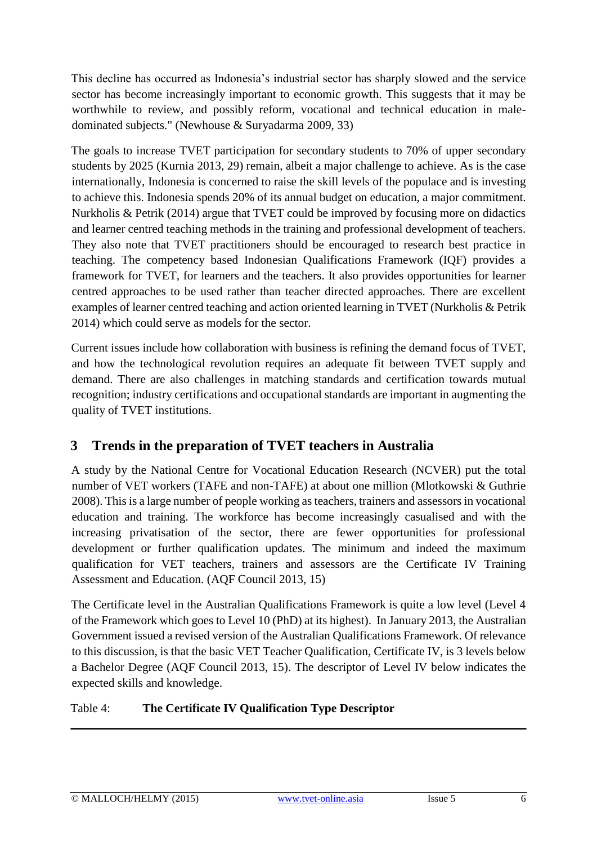This decline has occurred as Indonesia's industrial sector has sharply slowed and the service sector has become increasingly important to economic growth. This suggests that it may be worthwhile to review, and possibly reform, vocational and technical education in maledominated subjects." (Newhouse & Suryadarma 2009, 33)

The goals to increase TVET participation for secondary students to 70% of upper secondary students by 2025 (Kurnia 2013, 29) remain, albeit a major challenge to achieve. As is the case internationally, Indonesia is concerned to raise the skill levels of the populace and is investing to achieve this. Indonesia spends 20% of its annual budget on education, a major commitment. Nurkholis & Petrik (2014) argue that TVET could be improved by focusing more on didactics and learner centred teaching methods in the training and professional development of teachers. They also note that TVET practitioners should be encouraged to research best practice in teaching. The competency based Indonesian Qualifications Framework (IQF) provides a framework for TVET, for learners and the teachers. It also provides opportunities for learner centred approaches to be used rather than teacher directed approaches. There are excellent examples of learner centred teaching and action oriented learning in TVET (Nurkholis & Petrik 2014) which could serve as models for the sector.

Current issues include how collaboration with business is refining the demand focus of TVET, and how the technological revolution requires an adequate fit between TVET supply and demand. There are also challenges in matching standards and certification towards mutual recognition; industry certifications and occupational standards are important in augmenting the quality of TVET institutions.

## **3 Trends in the preparation of TVET teachers in Australia**

A study by the National Centre for Vocational Education Research (NCVER) put the total number of VET workers (TAFE and non-TAFE) at about one million (Mlotkowski & Guthrie 2008). This is a large number of people working as teachers, trainers and assessors in vocational education and training. The workforce has become increasingly casualised and with the increasing privatisation of the sector, there are fewer opportunities for professional development or further qualification updates. The minimum and indeed the maximum qualification for VET teachers, trainers and assessors are the Certificate IV Training Assessment and Education. (AQF Council 2013, 15)

The Certificate level in the Australian Qualifications Framework is quite a low level (Level 4 of the Framework which goes to Level 10 (PhD) at its highest). In January 2013, the Australian Government issued a revised version of the Australian Qualifications Framework. Of relevance to this discussion, is that the basic VET Teacher Qualification, Certificate IV, is 3 levels below a Bachelor Degree (AQF Council 2013, 15). The descriptor of Level IV below indicates the expected skills and knowledge.

## Table 4: **The Certificate IV Qualification Type Descriptor**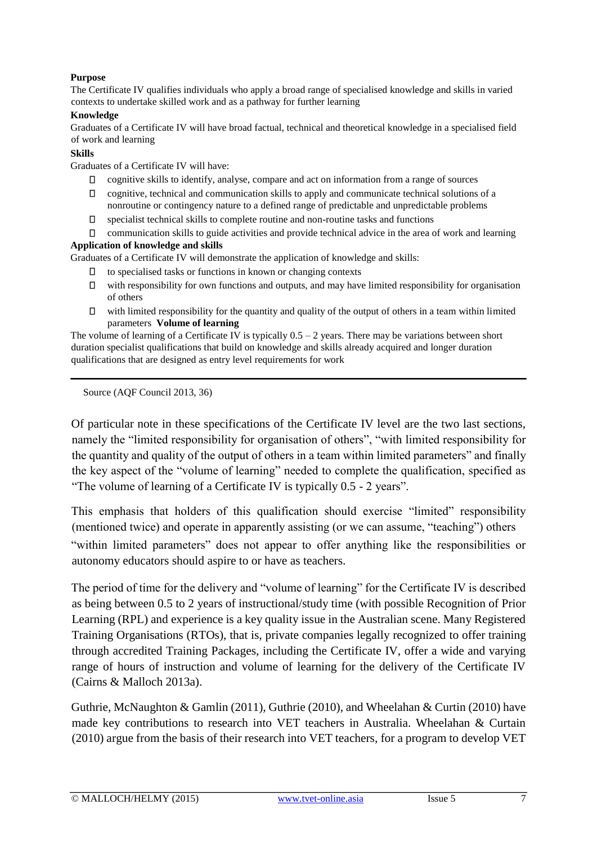#### **Purpose**

The Certificate IV qualifies individuals who apply a broad range of specialised knowledge and skills in varied contexts to undertake skilled work and as a pathway for further learning

#### **Knowledge**

Graduates of a Certificate IV will have broad factual, technical and theoretical knowledge in a specialised field of work and learning

#### **Skills**

Graduates of a Certificate IV will have:

- cognitive skills to identify, analyse, compare and act on information from a range of sources
- $\Box$ cognitive, technical and communication skills to apply and communicate technical solutions of a nonroutine or contingency nature to a defined range of predictable and unpredictable problems
- $\Box$ specialist technical skills to complete routine and non-routine tasks and functions
- $\Box$  communication skills to guide activities and provide technical advice in the area of work and learning

#### **Application of knowledge and skills**

Graduates of a Certificate IV will demonstrate the application of knowledge and skills:

- $\Box$  to specialised tasks or functions in known or changing contexts
- $\Box$  with responsibility for own functions and outputs, and may have limited responsibility for organisation of others
- $\Box$  with limited responsibility for the quantity and quality of the output of others in a team within limited parameters **Volume of learning**

The volume of learning of a Certificate IV is typically  $0.5 - 2$  years. There may be variations between short duration specialist qualifications that build on knowledge and skills already acquired and longer duration qualifications that are designed as entry level requirements for work

Source (AQF Council 2013, 36)

Of particular note in these specifications of the Certificate IV level are the two last sections, namely the "limited responsibility for organisation of others", "with limited responsibility for the quantity and quality of the output of others in a team within limited parameters" and finally the key aspect of the "volume of learning" needed to complete the qualification, specified as "The volume of learning of a Certificate IV is typically 0.5 - 2 years".

This emphasis that holders of this qualification should exercise "limited" responsibility (mentioned twice) and operate in apparently assisting (or we can assume, "teaching") others "within limited parameters" does not appear to offer anything like the responsibilities or autonomy educators should aspire to or have as teachers.

The period of time for the delivery and "volume of learning" for the Certificate IV is described as being between 0.5 to 2 years of instructional/study time (with possible Recognition of Prior Learning (RPL) and experience is a key quality issue in the Australian scene. Many Registered Training Organisations (RTOs), that is, private companies legally recognized to offer training through accredited Training Packages, including the Certificate IV, offer a wide and varying range of hours of instruction and volume of learning for the delivery of the Certificate IV (Cairns & Malloch 2013a).

Guthrie, McNaughton & Gamlin (2011), Guthrie (2010), and Wheelahan & Curtin (2010) have made key contributions to research into VET teachers in Australia. Wheelahan & Curtain (2010) argue from the basis of their research into VET teachers, for a program to develop VET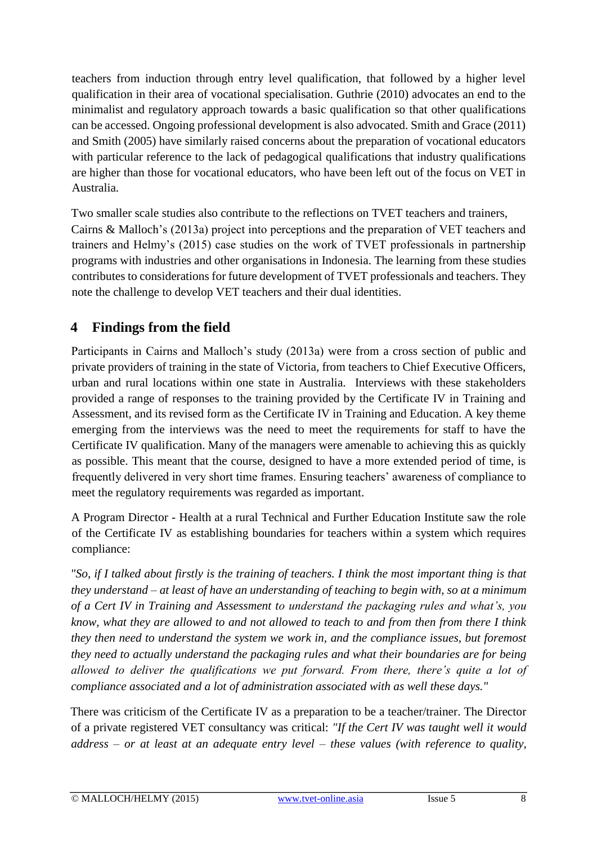teachers from induction through entry level qualification, that followed by a higher level qualification in their area of vocational specialisation. Guthrie (2010) advocates an end to the minimalist and regulatory approach towards a basic qualification so that other qualifications can be accessed. Ongoing professional development is also advocated. Smith and Grace (2011) and Smith (2005) have similarly raised concerns about the preparation of vocational educators with particular reference to the lack of pedagogical qualifications that industry qualifications are higher than those for vocational educators, who have been left out of the focus on VET in Australia.

Two smaller scale studies also contribute to the reflections on TVET teachers and trainers, Cairns & Malloch's (2013a) project into perceptions and the preparation of VET teachers and trainers and Helmy's (2015) case studies on the work of TVET professionals in partnership programs with industries and other organisations in Indonesia. The learning from these studies contributes to considerations for future development of TVET professionals and teachers. They note the challenge to develop VET teachers and their dual identities.

## **4 Findings from the field**

Participants in Cairns and Malloch's study (2013a) were from a cross section of public and private providers of training in the state of Victoria, from teachers to Chief Executive Officers, urban and rural locations within one state in Australia. Interviews with these stakeholders provided a range of responses to the training provided by the Certificate IV in Training and Assessment, and its revised form as the Certificate IV in Training and Education. A key theme emerging from the interviews was the need to meet the requirements for staff to have the Certificate IV qualification. Many of the managers were amenable to achieving this as quickly as possible. This meant that the course, designed to have a more extended period of time, is frequently delivered in very short time frames. Ensuring teachers' awareness of compliance to meet the regulatory requirements was regarded as important.

A Program Director - Health at a rural Technical and Further Education Institute saw the role of the Certificate IV as establishing boundaries for teachers within a system which requires compliance:

*"So, if I talked about firstly is the training of teachers. I think the most important thing is that they understand – at least of have an understanding of teaching to begin with, so at a minimum of a Cert IV in Training and Assessment to understand the packaging rules and what's, you know, what they are allowed to and not allowed to teach to and from then from there I think they then need to understand the system we work in, and the compliance issues, but foremost they need to actually understand the packaging rules and what their boundaries are for being allowed to deliver the qualifications we put forward. From there, there's quite a lot of compliance associated and a lot of administration associated with as well these days."* 

There was criticism of the Certificate IV as a preparation to be a teacher/trainer. The Director of a private registered VET consultancy was critical: *"If the Cert IV was taught well it would address – or at least at an adequate entry level – these values (with reference to quality,*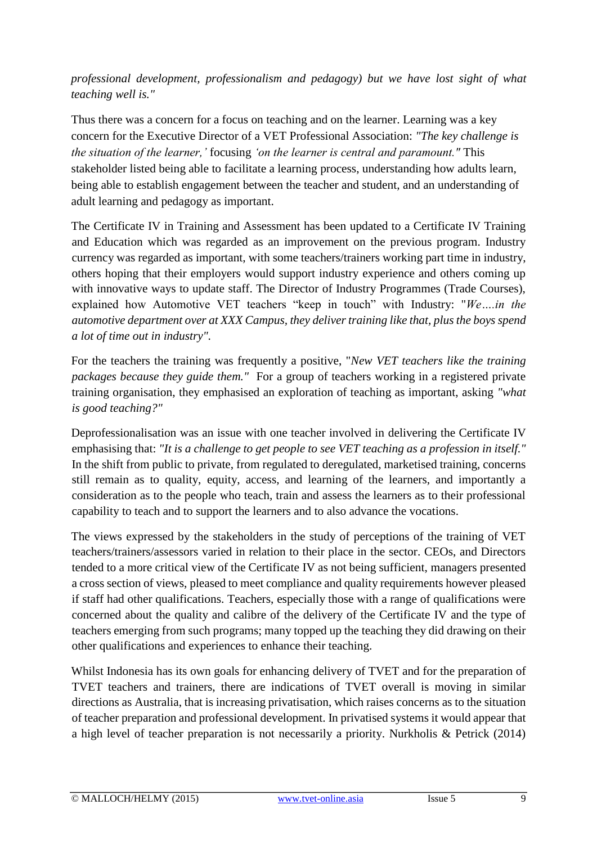*professional development, professionalism and pedagogy) but we have lost sight of what teaching well is."* 

Thus there was a concern for a focus on teaching and on the learner. Learning was a key concern for the Executive Director of a VET Professional Association: *"The key challenge is the situation of the learner,'* focusing *'on the learner is central and paramount."* This stakeholder listed being able to facilitate a learning process, understanding how adults learn, being able to establish engagement between the teacher and student, and an understanding of adult learning and pedagogy as important.

The Certificate IV in Training and Assessment has been updated to a Certificate IV Training and Education which was regarded as an improvement on the previous program. Industry currency was regarded as important, with some teachers/trainers working part time in industry, others hoping that their employers would support industry experience and others coming up with innovative ways to update staff. The Director of Industry Programmes (Trade Courses), explained how Automotive VET teachers "keep in touch" with Industry: "*We….in the automotive department over at XXX Campus, they deliver training like that, plus the boys spend a lot of time out in industry".* 

For the teachers the training was frequently a positive, "*New VET teachers like the training packages because they guide them."* For a group of teachers working in a registered private training organisation, they emphasised an exploration of teaching as important, asking *"what is good teaching?"* 

Deprofessionalisation was an issue with one teacher involved in delivering the Certificate IV emphasising that: *"It is a challenge to get people to see VET teaching as a profession in itself."*  In the shift from public to private, from regulated to deregulated, marketised training, concerns still remain as to quality, equity, access, and learning of the learners, and importantly a consideration as to the people who teach, train and assess the learners as to their professional capability to teach and to support the learners and to also advance the vocations.

The views expressed by the stakeholders in the study of perceptions of the training of VET teachers/trainers/assessors varied in relation to their place in the sector. CEOs, and Directors tended to a more critical view of the Certificate IV as not being sufficient, managers presented a cross section of views, pleased to meet compliance and quality requirements however pleased if staff had other qualifications. Teachers, especially those with a range of qualifications were concerned about the quality and calibre of the delivery of the Certificate IV and the type of teachers emerging from such programs; many topped up the teaching they did drawing on their other qualifications and experiences to enhance their teaching.

Whilst Indonesia has its own goals for enhancing delivery of TVET and for the preparation of TVET teachers and trainers, there are indications of TVET overall is moving in similar directions as Australia, that is increasing privatisation, which raises concerns as to the situation of teacher preparation and professional development. In privatised systems it would appear that a high level of teacher preparation is not necessarily a priority. Nurkholis & Petrick (2014)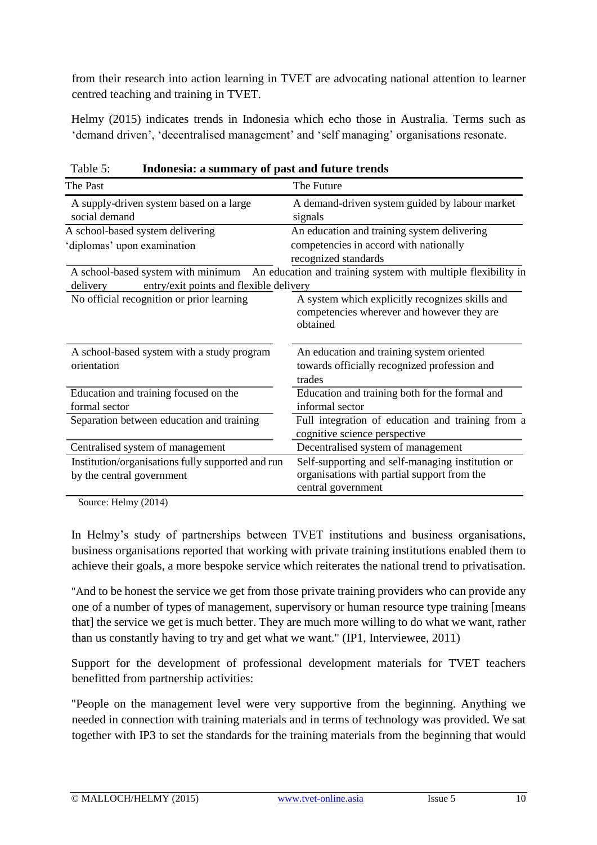from their research into action learning in TVET are advocating national attention to learner centred teaching and training in TVET.

Helmy (2015) indicates trends in Indonesia which echo those in Australia. Terms such as 'demand driven', 'decentralised management' and 'self managing' organisations resonate.

| The Past                                                                                  | The Future                                                                                                            |
|-------------------------------------------------------------------------------------------|-----------------------------------------------------------------------------------------------------------------------|
| A supply-driven system based on a large<br>social demand                                  | A demand-driven system guided by labour market<br>signals                                                             |
| A school-based system delivering                                                          | An education and training system delivering                                                                           |
| diplomas' upon examination                                                                | competencies in accord with nationally<br>recognized standards                                                        |
| A school-based system with minimum<br>entry/exit points and flexible delivery<br>delivery | An education and training system with multiple flexibility in                                                         |
| No official recognition or prior learning                                                 | A system which explicitly recognizes skills and<br>competencies wherever and however they are<br>obtained             |
| A school-based system with a study program<br>orientation                                 | An education and training system oriented<br>towards officially recognized profession and<br>trades                   |
| Education and training focused on the<br>formal sector                                    | Education and training both for the formal and<br>informal sector                                                     |
| Separation between education and training                                                 | Full integration of education and training from a<br>cognitive science perspective                                    |
| Centralised system of management                                                          | Decentralised system of management                                                                                    |
| Institution/organisations fully supported and run<br>by the central government            | Self-supporting and self-managing institution or<br>organisations with partial support from the<br>central government |

Table 5: **Indonesia: a summary of past and future trends** 

Source: Helmy (2014)

In Helmy's study of partnerships between TVET institutions and business organisations, business organisations reported that working with private training institutions enabled them to achieve their goals, a more bespoke service which reiterates the national trend to privatisation.

"And to be honest the service we get from those private training providers who can provide any one of a number of types of management, supervisory or human resource type training [means that] the service we get is much better. They are much more willing to do what we want, rather than us constantly having to try and get what we want." (IP1, Interviewee, 2011)

Support for the development of professional development materials for TVET teachers benefitted from partnership activities:

"People on the management level were very supportive from the beginning. Anything we needed in connection with training materials and in terms of technology was provided. We sat together with IP3 to set the standards for the training materials from the beginning that would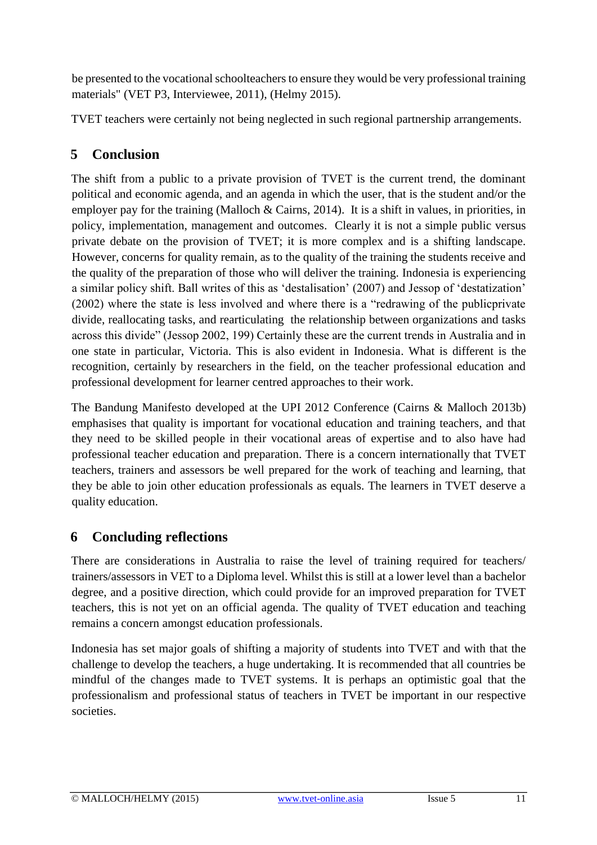be presented to the vocational schoolteachers to ensure they would be very professional training materials" (VET P3, Interviewee, 2011), (Helmy 2015).

TVET teachers were certainly not being neglected in such regional partnership arrangements.

## **5 Conclusion**

The shift from a public to a private provision of TVET is the current trend, the dominant political and economic agenda, and an agenda in which the user, that is the student and/or the employer pay for the training (Malloch & Cairns, 2014). It is a shift in values, in priorities, in policy, implementation, management and outcomes. Clearly it is not a simple public versus private debate on the provision of TVET; it is more complex and is a shifting landscape. However, concerns for quality remain, as to the quality of the training the students receive and the quality of the preparation of those who will deliver the training. Indonesia is experiencing a similar policy shift. Ball writes of this as 'destalisation' (2007) and Jessop of 'destatization' (2002) where the state is less involved and where there is a "redrawing of the publicprivate divide, reallocating tasks, and rearticulating the relationship between organizations and tasks across this divide" (Jessop 2002, 199) Certainly these are the current trends in Australia and in one state in particular, Victoria. This is also evident in Indonesia. What is different is the recognition, certainly by researchers in the field, on the teacher professional education and professional development for learner centred approaches to their work.

The Bandung Manifesto developed at the UPI 2012 Conference (Cairns & Malloch 2013b) emphasises that quality is important for vocational education and training teachers, and that they need to be skilled people in their vocational areas of expertise and to also have had professional teacher education and preparation. There is a concern internationally that TVET teachers, trainers and assessors be well prepared for the work of teaching and learning, that they be able to join other education professionals as equals. The learners in TVET deserve a quality education.

## **6 Concluding reflections**

There are considerations in Australia to raise the level of training required for teachers/ trainers/assessors in VET to a Diploma level. Whilst this is still at a lower level than a bachelor degree, and a positive direction, which could provide for an improved preparation for TVET teachers, this is not yet on an official agenda. The quality of TVET education and teaching remains a concern amongst education professionals.

Indonesia has set major goals of shifting a majority of students into TVET and with that the challenge to develop the teachers, a huge undertaking. It is recommended that all countries be mindful of the changes made to TVET systems. It is perhaps an optimistic goal that the professionalism and professional status of teachers in TVET be important in our respective societies.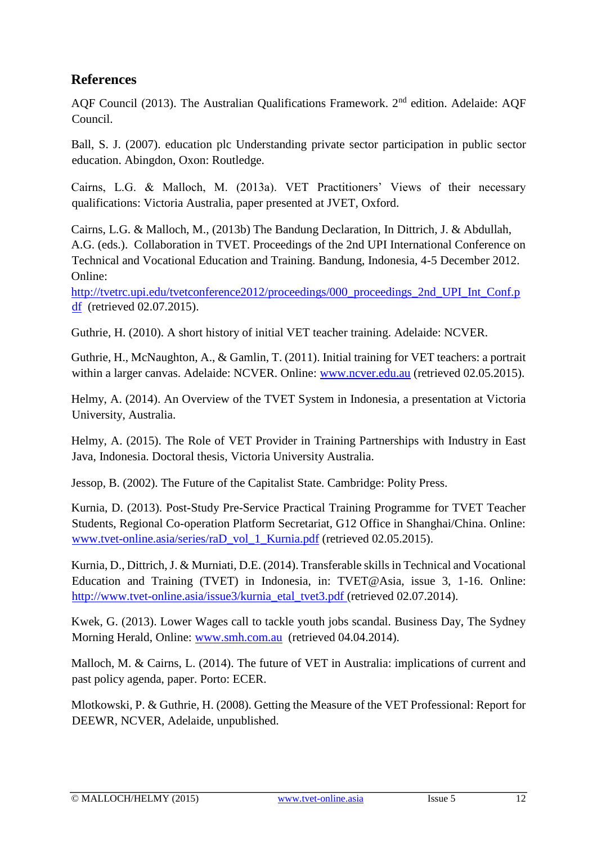## **References**

AQF Council (2013). The Australian Qualifications Framework. 2<sup>nd</sup> edition. Adelaide: AQF Council.

Ball, S. J. (2007). education plc Understanding private sector participation in public sector education. Abingdon, Oxon: Routledge.

Cairns, L.G. & Malloch, M. (2013a). VET Practitioners' Views of their necessary qualifications: Victoria Australia, paper presented at JVET, Oxford.

Cairns, L.G. & Malloch, M., (2013b) The Bandung Declaration, In Dittrich, J. & Abdullah, A.G. (eds.). Collaboration in TVET. Proceedings of the 2nd UPI International Conference on Technical and Vocational Education and Training. Bandung, Indonesia, 4-5 December 2012. Online:

http://tvetrc.upi.edu/tvetconference2012/proceedings/000\_proceedings\_2nd\_UPI\_Int\_Conf.p [df](http://tvetrc.upi.edu/tvetconference2012/proceedings/000_proceedings_2nd_UPI_Int_Conf.pdf) (retrieved 02.07.2015).

Guthrie, H. (2010). A short history of initial VET teacher training. Adelaide: NCVER.

Guthrie, H., McNaughton, A., & Gamlin, T. (2011). Initial training for VET teachers: a portrait within a larger canvas. Adelaide: NCVER. Online: [www.ncver.edu.au](http://www.ncver.edu.au/) (retrieved 02.05.2015).

Helmy, A. (2014). An Overview of the TVET System in Indonesia, a presentation at Victoria University, Australia.

Helmy, A. (2015). The Role of VET Provider in Training Partnerships with Industry in East Java, Indonesia. Doctoral thesis, Victoria University Australia.

Jessop, B. (2002). The Future of the Capitalist State. Cambridge: Polity Press.

Kurnia, D. (2013). Post-Study Pre-Service Practical Training Programme for TVET Teacher Students, Regional Co-operation Platform Secretariat, G12 Office in Shanghai/China. Online: [www.tvet-online.asia/series/raD\\_vol\\_1\\_Kurnia.pdf](http://www.tvet-online.asia/series/raD_vol_1_Kurnia.pdf) (retrieved 02.05.2015).

Kurnia, D., Dittrich, J. & Murniati, D.E. (2014). Transferable skills in Technical and Vocational Education and Training (TVET) in Indonesia, in: TVET@Asia, issue 3, 1-16. Online: http://www.tvet-online.asia/issue3/kurnia\_etal\_tvet3.pdf (retrieved 02.07.2014).

Kwek, G. (2013). Lower Wages call to tackle youth jobs scandal. Business Day, The Sydney Morning Herald, Online: [www.smh.com.au](http://www.smh.com.au/) (retrieved 04.04.2014).

Malloch, M. & Cairns, L. (2014). The future of VET in Australia: implications of current and past policy agenda, paper. Porto: ECER.

Mlotkowski, P. & Guthrie, H. (2008). Getting the Measure of the VET Professional: Report for DEEWR, NCVER, Adelaide, unpublished.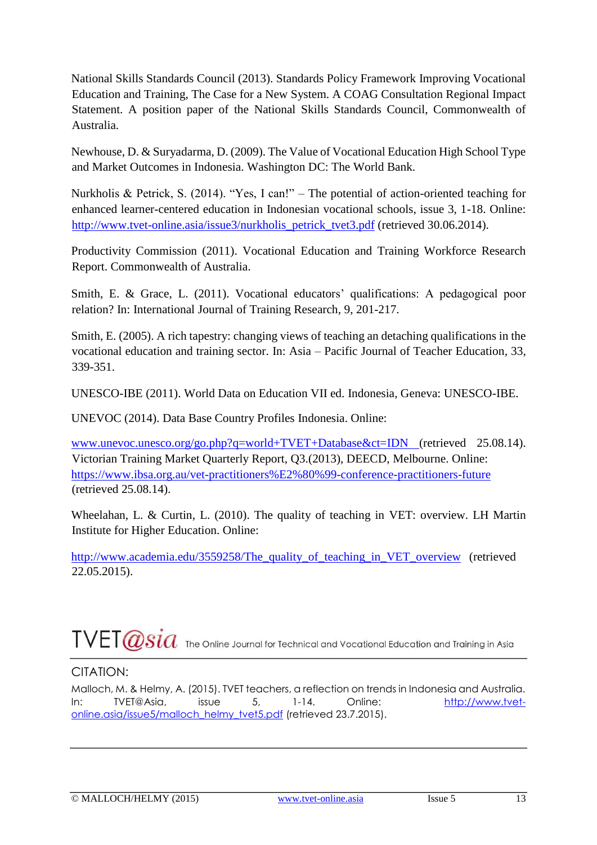National Skills Standards Council (2013). Standards Policy Framework Improving Vocational Education and Training, The Case for a New System. A COAG Consultation Regional Impact Statement. A position paper of the National Skills Standards Council, Commonwealth of Australia.

Newhouse, D. & Suryadarma, D. (2009). The Value of Vocational Education High School Type and Market Outcomes in Indonesia. Washington DC: The World Bank.

Nurkholis & Petrick, S. (2014). "Yes, I can!" – The potential of action-oriented teaching for enhanced learner-centered education in Indonesian vocational schools, issue 3, 1-18. Online: [http://www.tvet-online.asia/issue3/nurkholis\\_petrick\\_tvet3.pdf](http://www.tvet-online.asia/issue3/nurkholis_petrick_tvet3.pdf) (retrieved 30.06.2014).

Productivity Commission (2011). Vocational Education and Training Workforce Research Report. Commonwealth of Australia.

Smith, E. & Grace, L. (2011). Vocational educators' qualifications: A pedagogical poor relation? In: International Journal of Training Research*,* 9, 201-217.

Smith, E. (2005). A rich tapestry: changing views of teaching an detaching qualifications in the vocational education and training sector. In: Asia – Pacific Journal of Teacher Education*,* 33, 339-351.

UNESCO-IBE (2011). World Data on Education VII ed. Indonesia, Geneva: UNESCO-IBE.

UNEVOC (2014). Data Base Country Profiles Indonesia. Online:

[www.unevoc.unesco.org/go.php?q=world+TVET+Database&ct=IDN](http://www.unevoc.unesco.org/go.php?q=world+TVET+Database&ct=IDN) (retrieved 25.08.14). Victorian Training Market Quarterly Report, Q3.(2013), DEECD, Melbourne. Online: <https://www.ibsa.org.au/vet-practitioners%E2%80%99-conference-practitioners-future> (retrieved 25.08.14).

Wheelahan, L. & Curtin, L. (2010). The quality of teaching in VET: overview. LH Martin Institute for Higher Education. Online:

[http://www.academia.edu/3559258/The\\_quality\\_of\\_teaching\\_in\\_VET\\_overview](http://www.academia.edu/3559258/The_quality_of_teaching_in_VET_overview) (retrieved 22.05.2015).

# $\text{TVET}\textcolor{red}{\textcolor{red}{\mathscr{A}}\textcolor{red}{sid}}$  The Online Journal for Technical and Vocational Education and Training in Asia

## CITATION:

Malloch, M. & Helmy, A. (2015). TVET teachers, a reflection on trends in Indonesia and Australia. In: TVET@Asia, issue 5, 1-14. Online: [http://www.tvet](http://www.tvet-online.asia/issue5/malloch_helmy_tvet5.pdf)[online.asia/issue5/malloch\\_helmy\\_tvet5.pdf](http://www.tvet-online.asia/issue5/malloch_helmy_tvet5.pdf) [\(](http://www.tvet-online.asia/issue5/malloch_helmy_tvet5.pdf)retrieved 23.7.2015).